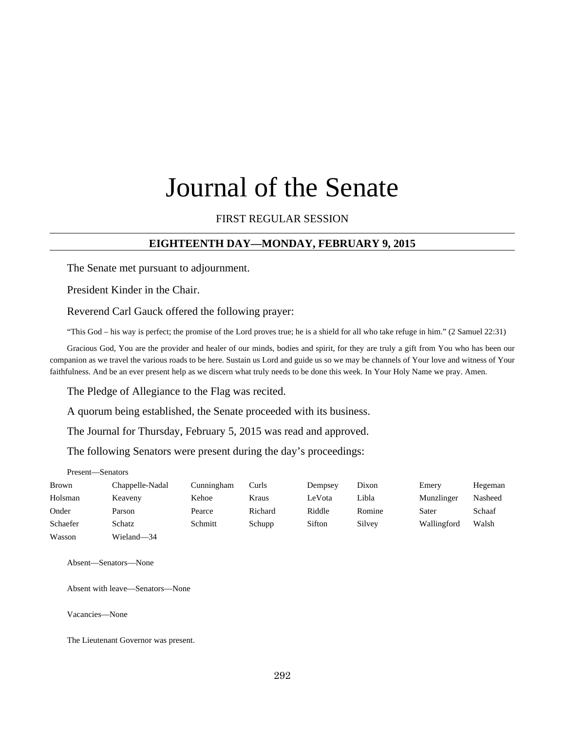# Journal of the Senate

# FIRST REGULAR SESSION

# **EIGHTEENTH DAY—MONDAY, FEBRUARY 9, 2015**

The Senate met pursuant to adjournment.

President Kinder in the Chair.

Reverend Carl Gauck offered the following prayer:

"This God – his way is perfect; the promise of the Lord proves true; he is a shield for all who take refuge in him." (2 Samuel 22:31)

Gracious God, You are the provider and healer of our minds, bodies and spirit, for they are truly a gift from You who has been our companion as we travel the various roads to be here. Sustain us Lord and guide us so we may be channels of Your love and witness of Your faithfulness. And be an ever present help as we discern what truly needs to be done this week. In Your Holy Name we pray. Amen.

The Pledge of Allegiance to the Flag was recited.

A quorum being established, the Senate proceeded with its business.

The Journal for Thursday, February 5, 2015 was read and approved.

The following Senators were present during the day's proceedings:

Present—Senators

| Brown    | Chappelle-Nadal | Cunningham | Curls   | Dempsey | Dixon  | Emery       | Hegeman |
|----------|-----------------|------------|---------|---------|--------|-------------|---------|
| Holsman  | Keaveny         | Kehoe      | Kraus   | LeVota  | Libla  | Munzlinger  | Nasheed |
| Onder    | Parson          | Pearce     | Richard | Riddle  | Romine | Sater       | Schaaf  |
| Schaefer | Schatz          | Schmitt    | Schupp  | Sifton  | Silvey | Wallingford | Walsh   |
| Wasson   | Wieland-34      |            |         |         |        |             |         |

Absent—Senators—None

Absent with leave—Senators—None

Vacancies—None

The Lieutenant Governor was present.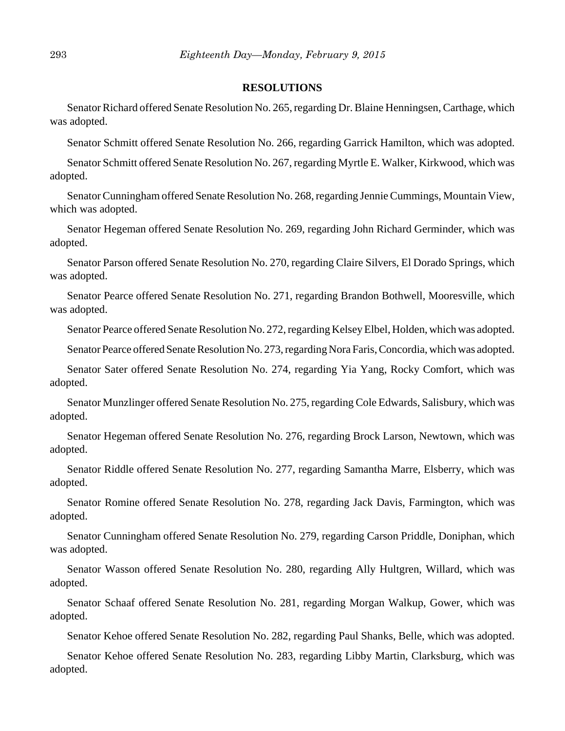### **RESOLUTIONS**

Senator Richard offered Senate Resolution No. 265, regarding Dr. Blaine Henningsen, Carthage, which was adopted.

Senator Schmitt offered Senate Resolution No. 266, regarding Garrick Hamilton, which was adopted.

Senator Schmitt offered Senate Resolution No. 267, regarding Myrtle E. Walker, Kirkwood, which was adopted.

Senator Cunningham offered Senate Resolution No. 268, regarding Jennie Cummings, Mountain View, which was adopted.

Senator Hegeman offered Senate Resolution No. 269, regarding John Richard Germinder, which was adopted.

Senator Parson offered Senate Resolution No. 270, regarding Claire Silvers, El Dorado Springs, which was adopted.

Senator Pearce offered Senate Resolution No. 271, regarding Brandon Bothwell, Mooresville, which was adopted.

Senator Pearce offered Senate Resolution No. 272, regarding Kelsey Elbel, Holden, which was adopted.

Senator Pearce offered Senate Resolution No. 273, regarding Nora Faris, Concordia, which was adopted.

Senator Sater offered Senate Resolution No. 274, regarding Yia Yang, Rocky Comfort, which was adopted.

Senator Munzlinger offered Senate Resolution No. 275, regarding Cole Edwards, Salisbury, which was adopted.

Senator Hegeman offered Senate Resolution No. 276, regarding Brock Larson, Newtown, which was adopted.

Senator Riddle offered Senate Resolution No. 277, regarding Samantha Marre, Elsberry, which was adopted.

Senator Romine offered Senate Resolution No. 278, regarding Jack Davis, Farmington, which was adopted.

Senator Cunningham offered Senate Resolution No. 279, regarding Carson Priddle, Doniphan, which was adopted.

Senator Wasson offered Senate Resolution No. 280, regarding Ally Hultgren, Willard, which was adopted.

Senator Schaaf offered Senate Resolution No. 281, regarding Morgan Walkup, Gower, which was adopted.

Senator Kehoe offered Senate Resolution No. 282, regarding Paul Shanks, Belle, which was adopted.

Senator Kehoe offered Senate Resolution No. 283, regarding Libby Martin, Clarksburg, which was adopted.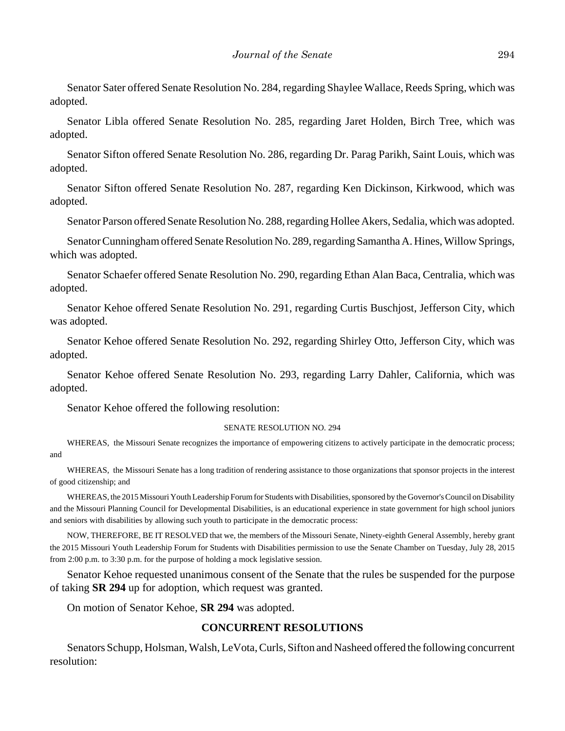Senator Sater offered Senate Resolution No. 284, regarding Shaylee Wallace, Reeds Spring, which was adopted.

Senator Libla offered Senate Resolution No. 285, regarding Jaret Holden, Birch Tree, which was adopted.

Senator Sifton offered Senate Resolution No. 286, regarding Dr. Parag Parikh, Saint Louis, which was adopted.

Senator Sifton offered Senate Resolution No. 287, regarding Ken Dickinson, Kirkwood, which was adopted.

Senator Parson offered Senate Resolution No. 288, regarding Hollee Akers, Sedalia, which was adopted.

Senator Cunningham offered Senate Resolution No. 289, regarding Samantha A. Hines, Willow Springs, which was adopted.

Senator Schaefer offered Senate Resolution No. 290, regarding Ethan Alan Baca, Centralia, which was adopted.

Senator Kehoe offered Senate Resolution No. 291, regarding Curtis Buschjost, Jefferson City, which was adopted.

Senator Kehoe offered Senate Resolution No. 292, regarding Shirley Otto, Jefferson City, which was adopted.

Senator Kehoe offered Senate Resolution No. 293, regarding Larry Dahler, California, which was adopted.

Senator Kehoe offered the following resolution:

#### SENATE RESOLUTION NO. 294

WHEREAS, the Missouri Senate recognizes the importance of empowering citizens to actively participate in the democratic process; and

WHEREAS, the Missouri Senate has a long tradition of rendering assistance to those organizations that sponsor projects in the interest of good citizenship; and

WHEREAS, the 2015 Missouri Youth Leadership Forum for Students with Disabilities, sponsored by the Governor's Council on Disability and the Missouri Planning Council for Developmental Disabilities, is an educational experience in state government for high school juniors and seniors with disabilities by allowing such youth to participate in the democratic process:

NOW, THEREFORE, BE IT RESOLVED that we, the members of the Missouri Senate, Ninety-eighth General Assembly, hereby grant the 2015 Missouri Youth Leadership Forum for Students with Disabilities permission to use the Senate Chamber on Tuesday, July 28, 2015 from 2:00 p.m. to 3:30 p.m. for the purpose of holding a mock legislative session.

Senator Kehoe requested unanimous consent of the Senate that the rules be suspended for the purpose of taking **SR 294** up for adoption, which request was granted.

On motion of Senator Kehoe, **SR 294** was adopted.

### **CONCURRENT RESOLUTIONS**

Senators Schupp, Holsman, Walsh, LeVota, Curls, Sifton and Nasheed offered the following concurrent resolution: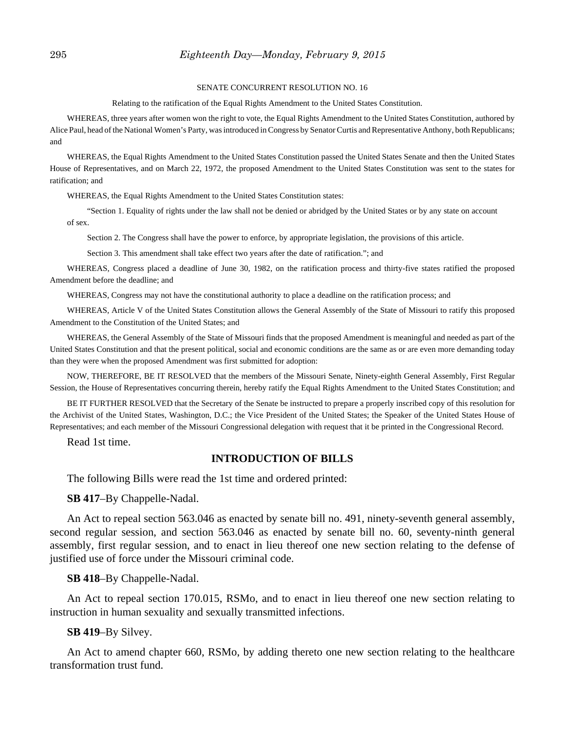### 295 *Eighteenth Day—Monday, February 9, 2015*

#### SENATE CONCURRENT RESOLUTION NO. 16

Relating to the ratification of the Equal Rights Amendment to the United States Constitution.

WHEREAS, three years after women won the right to vote, the Equal Rights Amendment to the United States Constitution, authored by Alice Paul, head of the National Women's Party, was introduced in Congress by Senator Curtis and Representative Anthony, both Republicans; and

WHEREAS, the Equal Rights Amendment to the United States Constitution passed the United States Senate and then the United States House of Representatives, and on March 22, 1972, the proposed Amendment to the United States Constitution was sent to the states for ratification; and

WHEREAS, the Equal Rights Amendment to the United States Constitution states:

"Section 1. Equality of rights under the law shall not be denied or abridged by the United States or by any state on account of sex.

Section 2. The Congress shall have the power to enforce, by appropriate legislation, the provisions of this article.

Section 3. This amendment shall take effect two years after the date of ratification."; and

WHEREAS, Congress placed a deadline of June 30, 1982, on the ratification process and thirty-five states ratified the proposed Amendment before the deadline; and

WHEREAS, Congress may not have the constitutional authority to place a deadline on the ratification process; and

WHEREAS, Article V of the United States Constitution allows the General Assembly of the State of Missouri to ratify this proposed Amendment to the Constitution of the United States; and

WHEREAS, the General Assembly of the State of Missouri finds that the proposed Amendment is meaningful and needed as part of the United States Constitution and that the present political, social and economic conditions are the same as or are even more demanding today than they were when the proposed Amendment was first submitted for adoption:

NOW, THEREFORE, BE IT RESOLVED that the members of the Missouri Senate, Ninety-eighth General Assembly, First Regular Session, the House of Representatives concurring therein, hereby ratify the Equal Rights Amendment to the United States Constitution; and

BE IT FURTHER RESOLVED that the Secretary of the Senate be instructed to prepare a properly inscribed copy of this resolution for the Archivist of the United States, Washington, D.C.; the Vice President of the United States; the Speaker of the United States House of Representatives; and each member of the Missouri Congressional delegation with request that it be printed in the Congressional Record.

Read 1st time.

### **INTRODUCTION OF BILLS**

The following Bills were read the 1st time and ordered printed:

**SB 417**–By Chappelle-Nadal.

An Act to repeal section 563.046 as enacted by senate bill no. 491, ninety-seventh general assembly, second regular session, and section 563.046 as enacted by senate bill no. 60, seventy-ninth general assembly, first regular session, and to enact in lieu thereof one new section relating to the defense of justified use of force under the Missouri criminal code.

**SB 418**–By Chappelle-Nadal.

An Act to repeal section 170.015, RSMo, and to enact in lieu thereof one new section relating to instruction in human sexuality and sexually transmitted infections.

### **SB 419**–By Silvey.

An Act to amend chapter 660, RSMo, by adding thereto one new section relating to the healthcare transformation trust fund.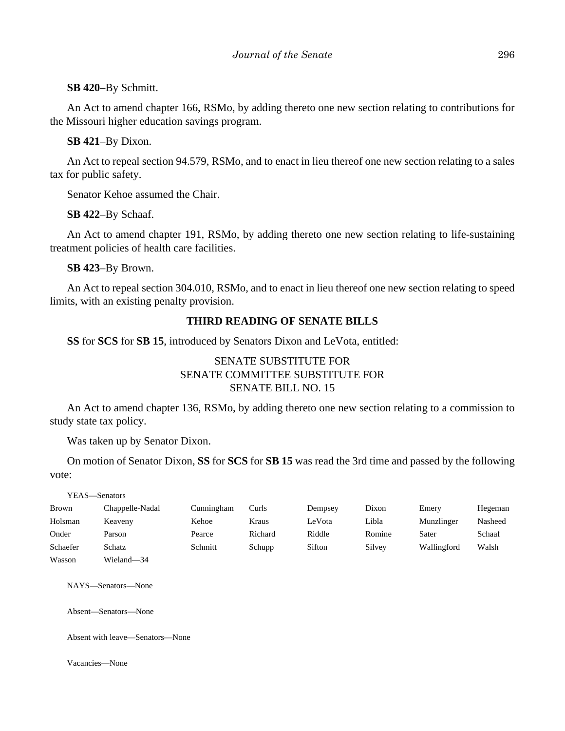### **SB 420**–By Schmitt.

An Act to amend chapter 166, RSMo, by adding thereto one new section relating to contributions for the Missouri higher education savings program.

**SB 421**–By Dixon.

An Act to repeal section 94.579, RSMo, and to enact in lieu thereof one new section relating to a sales tax for public safety.

Senator Kehoe assumed the Chair.

**SB 422**–By Schaaf.

An Act to amend chapter 191, RSMo, by adding thereto one new section relating to life-sustaining treatment policies of health care facilities.

**SB 423**–By Brown.

An Act to repeal section 304.010, RSMo, and to enact in lieu thereof one new section relating to speed limits, with an existing penalty provision.

# **THIRD READING OF SENATE BILLS**

**SS** for **SCS** for **SB 15**, introduced by Senators Dixon and LeVota, entitled:

# SENATE SUBSTITUTE FOR SENATE COMMITTEE SUBSTITUTE FOR SENATE BILL NO. 15

An Act to amend chapter 136, RSMo, by adding thereto one new section relating to a commission to study state tax policy.

Was taken up by Senator Dixon.

On motion of Senator Dixon, **SS** for **SCS** for **SB 15** was read the 3rd time and passed by the following vote:

YEAS—Senators

| Brown    | Chappelle-Nadal | Cunningham | Curls   | Dempsey | Dixon  | Emery       | Hegeman |
|----------|-----------------|------------|---------|---------|--------|-------------|---------|
| Holsman  | Keaveny         | Kehoe      | Kraus   | LeVota  | Libla  | Munzlinger  | Nasheed |
| Onder    | Parson          | Pearce     | Richard | Riddle  | Romine | Sater       | Schaaf  |
| Schaefer | Schatz          | Schmitt    | Schupp  | Sifton  | Silvey | Wallingford | Walsh   |
| Wasson   | Wieland-34      |            |         |         |        |             |         |

NAYS—Senators—None

Absent—Senators—None

Absent with leave—Senators—None

Vacancies—None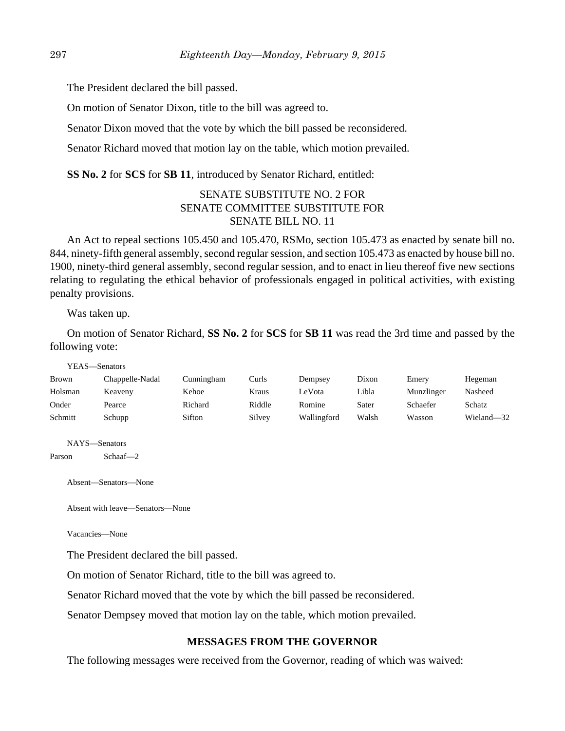The President declared the bill passed.

On motion of Senator Dixon, title to the bill was agreed to.

Senator Dixon moved that the vote by which the bill passed be reconsidered.

Senator Richard moved that motion lay on the table, which motion prevailed.

**SS No. 2** for **SCS** for **SB 11**, introduced by Senator Richard, entitled:

# SENATE SUBSTITUTE NO. 2 FOR SENATE COMMITTEE SUBSTITUTE FOR SENATE BILL NO. 11

An Act to repeal sections 105.450 and 105.470, RSMo, section 105.473 as enacted by senate bill no. 844, ninety-fifth general assembly, second regular session, and section 105.473 as enacted by house bill no. 1900, ninety-third general assembly, second regular session, and to enact in lieu thereof five new sections relating to regulating the ethical behavior of professionals engaged in political activities, with existing penalty provisions.

Was taken up.

On motion of Senator Richard, **SS No. 2** for **SCS** for **SB 11** was read the 3rd time and passed by the following vote:

YEAS—Senators

| Brown   | Chappelle-Nadal | Cunningham | Curls  | Dempsey     | Dixon | Emery      | Hegeman       |
|---------|-----------------|------------|--------|-------------|-------|------------|---------------|
| Holsman | Keaveny         | Kehoe      | Kraus  | LeVota      | Libla | Munzlinger | Nasheed       |
| Onder   | Pearce          | Richard    | Riddle | Romine      | Sater | Schaefer   | <b>Schatz</b> |
| Schmitt | Schupp          | Sifton     | Silvey | Wallingford | Walsh | Wasson     | Wieland—32    |

NAYS—Senators

Parson Schaaf—2

Absent—Senators—None

Absent with leave—Senators—None

Vacancies—None

The President declared the bill passed.

On motion of Senator Richard, title to the bill was agreed to.

Senator Richard moved that the vote by which the bill passed be reconsidered.

Senator Dempsey moved that motion lay on the table, which motion prevailed.

### **MESSAGES FROM THE GOVERNOR**

The following messages were received from the Governor, reading of which was waived: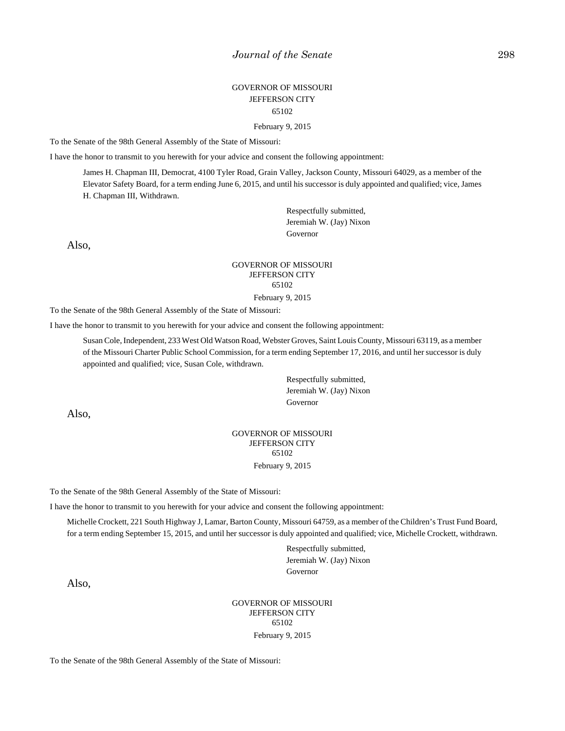# GOVERNOR OF MISSOURI JEFFERSON CITY 65102

February 9, 2015

To the Senate of the 98th General Assembly of the State of Missouri:

I have the honor to transmit to you herewith for your advice and consent the following appointment:

James H. Chapman III, Democrat, 4100 Tyler Road, Grain Valley, Jackson County, Missouri 64029, as a member of the Elevator Safety Board, for a term ending June 6, 2015, and until his successor is duly appointed and qualified; vice, James H. Chapman III, Withdrawn.

> Respectfully submitted, Jeremiah W. (Jay) Nixon Governor

Also,

### GOVERNOR OF MISSOURI JEFFERSON CITY 65102

February 9, 2015

To the Senate of the 98th General Assembly of the State of Missouri:

I have the honor to transmit to you herewith for your advice and consent the following appointment:

Susan Cole, Independent, 233 West Old Watson Road, Webster Groves, Saint Louis County, Missouri 63119, as a member of the Missouri Charter Public School Commission, for a term ending September 17, 2016, and until her successor is duly appointed and qualified; vice, Susan Cole, withdrawn.

> Respectfully submitted, Jeremiah W. (Jay) Nixon Governor

Also,

### GOVERNOR OF MISSOURI JEFFERSON CITY 65102 February 9, 2015

To the Senate of the 98th General Assembly of the State of Missouri:

I have the honor to transmit to you herewith for your advice and consent the following appointment:

Michelle Crockett, 221 South Highway J, Lamar, Barton County, Missouri 64759, as a member of the Children's Trust Fund Board, for a term ending September 15, 2015, and until her successor is duly appointed and qualified; vice, Michelle Crockett, withdrawn.

> Respectfully submitted, Jeremiah W. (Jay) Nixon Governor

Also,

GOVERNOR OF MISSOURI JEFFERSON CITY 65102 February 9, 2015

To the Senate of the 98th General Assembly of the State of Missouri: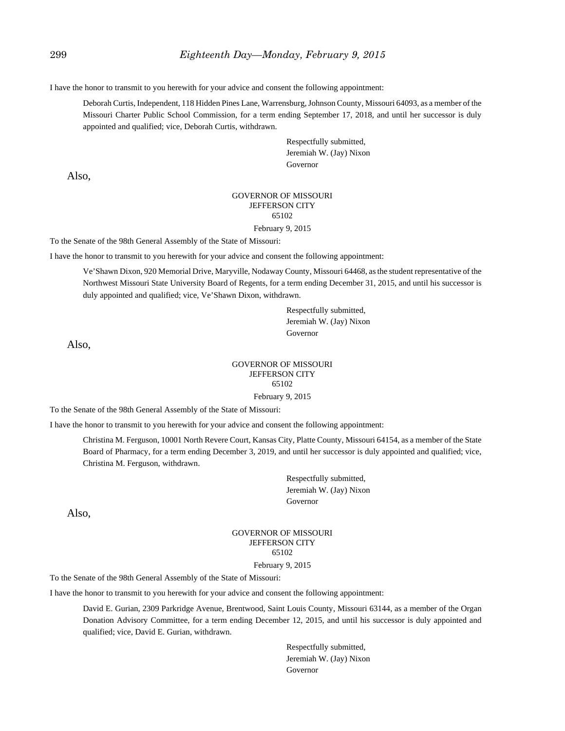I have the honor to transmit to you herewith for your advice and consent the following appointment:

Deborah Curtis, Independent, 118 Hidden Pines Lane, Warrensburg, Johnson County, Missouri 64093, as a member of the Missouri Charter Public School Commission, for a term ending September 17, 2018, and until her successor is duly appointed and qualified; vice, Deborah Curtis, withdrawn.

> Respectfully submitted, Jeremiah W. (Jay) Nixon Governor

Also,

#### GOVERNOR OF MISSOURI JEFFERSON CITY 65102

February 9, 2015

To the Senate of the 98th General Assembly of the State of Missouri:

I have the honor to transmit to you herewith for your advice and consent the following appointment:

Ve'Shawn Dixon, 920 Memorial Drive, Maryville, Nodaway County, Missouri 64468, as the student representative of the Northwest Missouri State University Board of Regents, for a term ending December 31, 2015, and until his successor is duly appointed and qualified; vice, Ve'Shawn Dixon, withdrawn.

> Respectfully submitted, Jeremiah W. (Jay) Nixon Governor

Also,

### GOVERNOR OF MISSOURI JEFFERSON CITY 65102 February 9, 2015

To the Senate of the 98th General Assembly of the State of Missouri:

I have the honor to transmit to you herewith for your advice and consent the following appointment:

Christina M. Ferguson, 10001 North Revere Court, Kansas City, Platte County, Missouri 64154, as a member of the State Board of Pharmacy, for a term ending December 3, 2019, and until her successor is duly appointed and qualified; vice, Christina M. Ferguson, withdrawn.

> Respectfully submitted, Jeremiah W. (Jay) Nixon Governor

Also,

### GOVERNOR OF MISSOURI JEFFERSON CITY 65102

#### February 9, 2015

To the Senate of the 98th General Assembly of the State of Missouri:

I have the honor to transmit to you herewith for your advice and consent the following appointment:

David E. Gurian, 2309 Parkridge Avenue, Brentwood, Saint Louis County, Missouri 63144, as a member of the Organ Donation Advisory Committee, for a term ending December 12, 2015, and until his successor is duly appointed and qualified; vice, David E. Gurian, withdrawn.

> Respectfully submitted, Jeremiah W. (Jay) Nixon Governor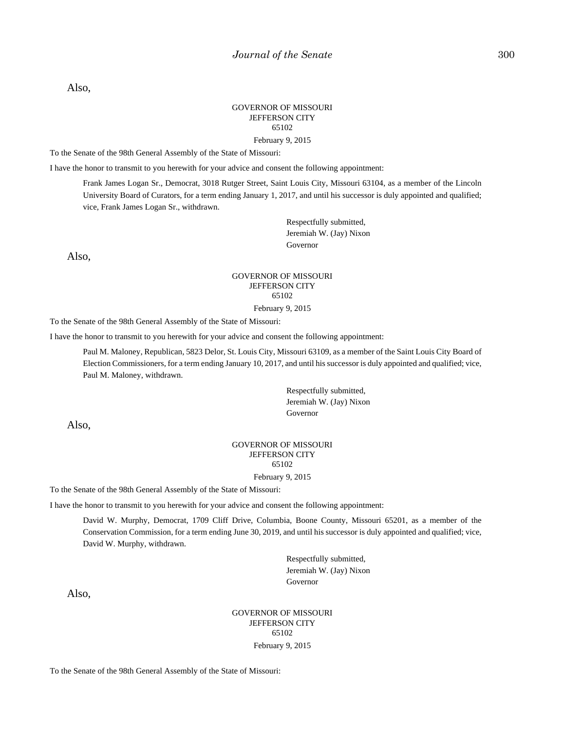Also,

### GOVERNOR OF MISSOURI JEFFERSON CITY 65102

February 9, 2015

To the Senate of the 98th General Assembly of the State of Missouri:

I have the honor to transmit to you herewith for your advice and consent the following appointment:

Frank James Logan Sr., Democrat, 3018 Rutger Street, Saint Louis City, Missouri 63104, as a member of the Lincoln University Board of Curators, for a term ending January 1, 2017, and until his successor is duly appointed and qualified; vice, Frank James Logan Sr., withdrawn.

> Respectfully submitted, Jeremiah W. (Jay) Nixon Governor

Also,

### GOVERNOR OF MISSOURI JEFFERSON CITY 65102

February 9, 2015

To the Senate of the 98th General Assembly of the State of Missouri:

I have the honor to transmit to you herewith for your advice and consent the following appointment:

Paul M. Maloney, Republican, 5823 Delor, St. Louis City, Missouri 63109, as a member of the Saint Louis City Board of Election Commissioners, for a term ending January 10, 2017, and until his successor is duly appointed and qualified; vice, Paul M. Maloney, withdrawn.

> Respectfully submitted, Jeremiah W. (Jay) Nixon Governor

Also,

### GOVERNOR OF MISSOURI JEFFERSON CITY 65102

February 9, 2015

To the Senate of the 98th General Assembly of the State of Missouri:

I have the honor to transmit to you herewith for your advice and consent the following appointment:

David W. Murphy, Democrat, 1709 Cliff Drive, Columbia, Boone County, Missouri 65201, as a member of the Conservation Commission, for a term ending June 30, 2019, and until his successor is duly appointed and qualified; vice, David W. Murphy, withdrawn.

> Respectfully submitted, Jeremiah W. (Jay) Nixon Governor

Also,

GOVERNOR OF MISSOURI JEFFERSON CITY 65102 February 9, 2015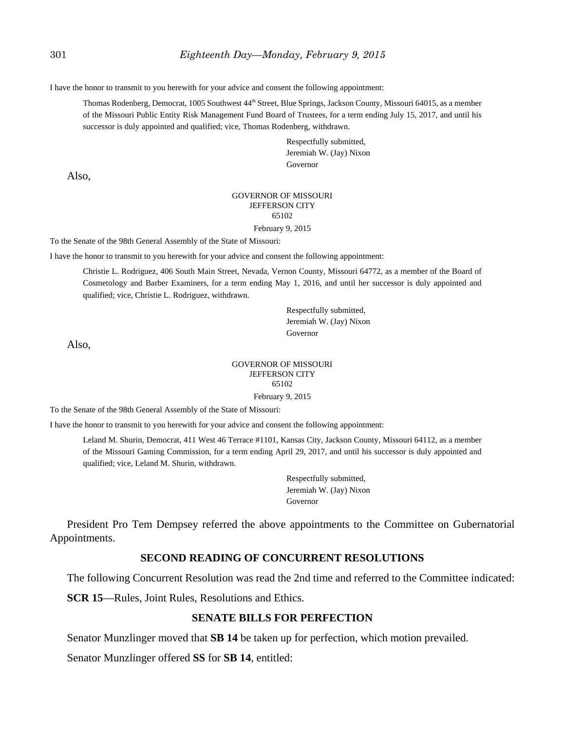I have the honor to transmit to you herewith for your advice and consent the following appointment:

Thomas Rodenberg, Democrat, 1005 Southwest 44<sup>th</sup> Street, Blue Springs, Jackson County, Missouri 64015, as a member of the Missouri Public Entity Risk Management Fund Board of Trustees, for a term ending July 15, 2017, and until his successor is duly appointed and qualified; vice, Thomas Rodenberg, withdrawn.

> Respectfully submitted, Jeremiah W. (Jay) Nixon Governor

Also,

#### GOVERNOR OF MISSOURI JEFFERSON CITY 65102

February 9, 2015

To the Senate of the 98th General Assembly of the State of Missouri:

I have the honor to transmit to you herewith for your advice and consent the following appointment:

Christie L. Rodriguez, 406 South Main Street, Nevada, Vernon County, Missouri 64772, as a member of the Board of Cosmetology and Barber Examiners, for a term ending May 1, 2016, and until her successor is duly appointed and qualified; vice, Christie L. Rodriguez, withdrawn.

> Respectfully submitted, Jeremiah W. (Jay) Nixon Governor

Also,

### GOVERNOR OF MISSOURI JEFFERSON CITY 65102 February 9, 2015

To the Senate of the 98th General Assembly of the State of Missouri:

I have the honor to transmit to you herewith for your advice and consent the following appointment:

Leland M. Shurin, Democrat, 411 West 46 Terrace #1101, Kansas City, Jackson County, Missouri 64112, as a member of the Missouri Gaming Commission, for a term ending April 29, 2017, and until his successor is duly appointed and qualified; vice, Leland M. Shurin, withdrawn.

> Respectfully submitted, Jeremiah W. (Jay) Nixon Governor

President Pro Tem Dempsey referred the above appointments to the Committee on Gubernatorial Appointments.

### **SECOND READING OF CONCURRENT RESOLUTIONS**

The following Concurrent Resolution was read the 2nd time and referred to the Committee indicated:

**SCR 15**—Rules, Joint Rules, Resolutions and Ethics.

### **SENATE BILLS FOR PERFECTION**

Senator Munzlinger moved that **SB 14** be taken up for perfection, which motion prevailed.

Senator Munzlinger offered **SS** for **SB 14**, entitled: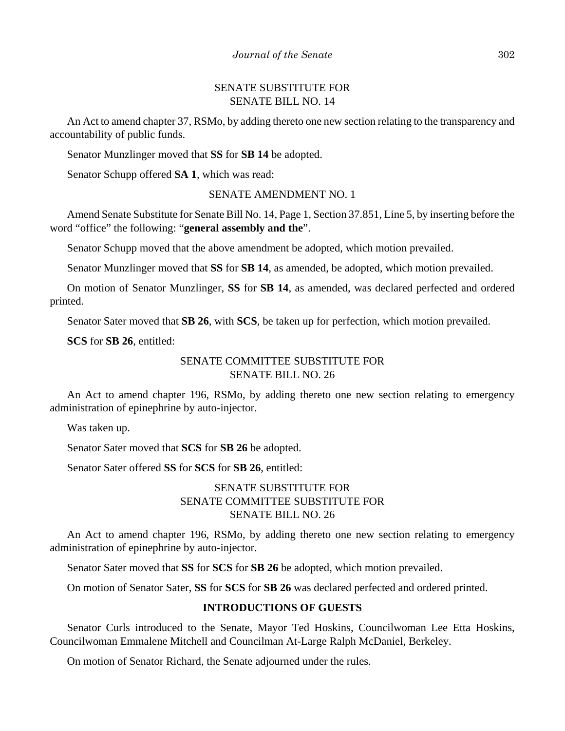# SENATE SUBSTITUTE FOR SENATE BILL NO. 14

An Act to amend chapter 37, RSMo, by adding thereto one new section relating to the transparency and accountability of public funds.

Senator Munzlinger moved that **SS** for **SB 14** be adopted.

Senator Schupp offered **SA 1**, which was read:

# SENATE AMENDMENT NO. 1

Amend Senate Substitute for Senate Bill No. 14, Page 1, Section 37.851, Line 5, by inserting before the word "office" the following: "**general assembly and the**".

Senator Schupp moved that the above amendment be adopted, which motion prevailed.

Senator Munzlinger moved that **SS** for **SB 14**, as amended, be adopted, which motion prevailed.

On motion of Senator Munzlinger, **SS** for **SB 14**, as amended, was declared perfected and ordered printed.

Senator Sater moved that **SB 26**, with **SCS**, be taken up for perfection, which motion prevailed.

**SCS** for **SB 26**, entitled:

# SENATE COMMITTEE SUBSTITUTE FOR SENATE BILL NO. 26

An Act to amend chapter 196, RSMo, by adding thereto one new section relating to emergency administration of epinephrine by auto-injector.

Was taken up.

Senator Sater moved that **SCS** for **SB 26** be adopted.

Senator Sater offered **SS** for **SCS** for **SB 26**, entitled:

# SENATE SUBSTITUTE FOR SENATE COMMITTEE SUBSTITUTE FOR SENATE BILL NO. 26

An Act to amend chapter 196, RSMo, by adding thereto one new section relating to emergency administration of epinephrine by auto-injector.

Senator Sater moved that **SS** for **SCS** for **SB 26** be adopted, which motion prevailed.

On motion of Senator Sater, **SS** for **SCS** for **SB 26** was declared perfected and ordered printed.

### **INTRODUCTIONS OF GUESTS**

Senator Curls introduced to the Senate, Mayor Ted Hoskins, Councilwoman Lee Etta Hoskins, Councilwoman Emmalene Mitchell and Councilman At-Large Ralph McDaniel, Berkeley.

On motion of Senator Richard, the Senate adjourned under the rules.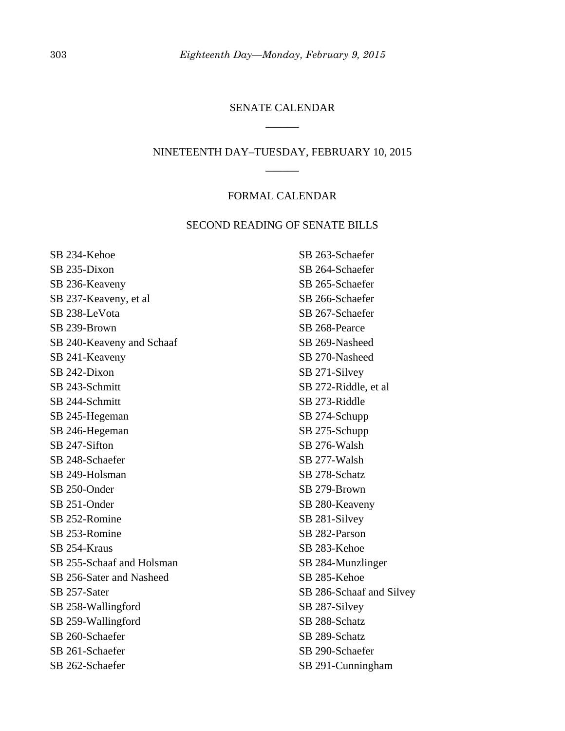# SENATE CALENDAR \_\_\_\_\_\_

# NINETEENTH DAY–TUESDAY, FEBRUARY 10, 2015 \_\_\_\_\_\_

### FORMAL CALENDAR

# SECOND READING OF SENATE BILLS

SB 234-Kehoe SB 235-Dixon SB 236-Keaveny SB 237-Keaveny, et al SB 238-LeVota SB 239-Brown SB 240-Keaveny and Schaaf SB 241-Keaveny SB 242-Dixon SB 243-Schmitt SB 244-Schmitt SB 245-Hegeman SB 246-Hegeman SB 247-Sifton SB 248-Schaefer SB 249-Holsman SB 250-Onder SB 251-Onder SB 252-Romine SB 253-Romine SB 254-Kraus SB 255-Schaaf and Holsman SB 256-Sater and Nasheed SB 257-Sater SB 258-Wallingford SB 259-Wallingford SB 260-Schaefer SB 261-Schaefer SB 262-Schaefer

SB 263-Schaefer SB 264-Schaefer SB 265-Schaefer SB 266-Schaefer SB 267-Schaefer SB 268-Pearce SB 269-Nasheed SB 270-Nasheed SB 271-Silvey SB 272-Riddle, et al SB 273-Riddle SB 274-Schupp SB 275-Schupp SB 276-Walsh SB 277-Walsh SB 278-Schatz SB 279-Brown SB 280-Keaveny SB 281-Silvey SB 282-Parson SB 283-Kehoe SB 284-Munzlinger SB 285-Kehoe SB 286-Schaaf and Silvey SB 287-Silvey SB 288-Schatz SB 289-Schatz SB 290-Schaefer SB 291-Cunningham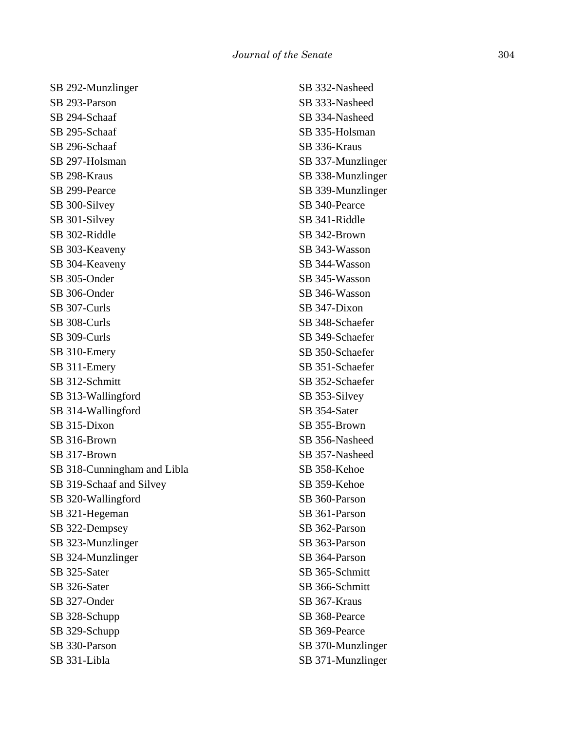SB 292-Munzlinger SB 293-Parson SB 294-Schaaf SB 295-Schaaf SB 296-Schaaf SB 297-Holsman SB 298-Kraus SB 299-Pearce SB 300-Silvey SB 301-Silvey SB 302-Riddle SB 303-Keaveny SB 304-Keaveny SB 305-Onder SB 306-Onder SB 307-Curls SB 308-Curls SB 309-Curls SB 310-Emery SB 311-Emery SB 312-Schmitt SB 313-Wallingford SB 314-Wallingford SB 315-Dixon SB 316-Brown SB 317-Brown SB 318-Cunningham and Libla SB 319-Schaaf and Silvey SB 320-Wallingford SB 321-Hegeman SB 322-Dempsey SB 323-Munzlinger SB 324-Munzlinger SB 325-Sater SB 326-Sater SB 327-Onder SB 328-Schupp SB 329-Schupp SB 330-Parson SB 331-Libla

SB 332-Nasheed SB 333-Nasheed SB 334-Nasheed SB 335-Holsman SB 336-Kraus SB 337-Munzlinger SB 338-Munzlinger SB 339-Munzlinger SB 340-Pearce SB 341-Riddle SB 342-Brown SB 343-Wasson SB 344-Wasson SB 345-Wasson SB 346-Wasson SB 347-Dixon SB 348-Schaefer SB 349-Schaefer SB 350-Schaefer SB 351-Schaefer SB 352-Schaefer SB 353-Silvey SB 354-Sater SB 355-Brown SB 356-Nasheed SB 357-Nasheed SB 358-Kehoe SB 359-Kehoe SB 360-Parson SB 361-Parson SB 362-Parson SB 363-Parson SB 364-Parson SB 365-Schmitt SB 366-Schmitt SB 367-Kraus SB 368-Pearce SB 369-Pearce SB 370-Munzlinger SB 371-Munzlinger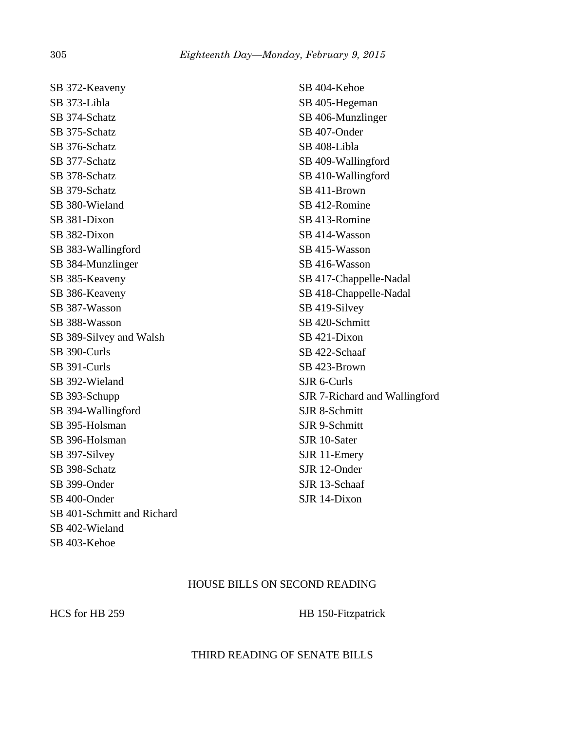SB 372-Keaveny SB 373-Libla SB 374-Schatz SB 375-Schatz SB 376-Schatz SB 377-Schatz SB 378-Schatz SB 379-Schatz SB 380-Wieland SB 381-Dixon SB 382-Dixon SB 383-Wallingford SB 384-Munzlinger SB 385-Keaveny SB 386-Keaveny SB 387-Wasson SB 388-Wasson SB 389-Silvey and Walsh SB 390-Curls SB 391-Curls SB 392-Wieland SB 393-Schupp SB 394-Wallingford SB 395-Holsman SB 396-Holsman SB 397-Silvey SB 398-Schatz SB 399-Onder SB 400-Onder SB 401-Schmitt and Richard SB 402-Wieland SB 403-Kehoe

SB 404-Kehoe SB 405-Hegeman SB 406-Munzlinger SB 407-Onder SB 408-Libla SB 409-Wallingford SB 410-Wallingford SB 411-Brown SB 412-Romine SB 413-Romine SB 414-Wasson SB 415-Wasson SB 416-Wasson SB 417-Chappelle-Nadal SB 418-Chappelle-Nadal SB 419-Silvey SB 420-Schmitt SB 421-Dixon SB 422-Schaaf SB 423-Brown SJR 6-Curls SJR 7-Richard and Wallingford SJR 8-Schmitt SJR 9-Schmitt SJR 10-Sater SJR 11-Emery SJR 12-Onder SJR 13-Schaaf SJR 14-Dixon

# HOUSE BILLS ON SECOND READING

### HCS for HB 259 HB 150-Fitzpatrick

# THIRD READING OF SENATE BILLS